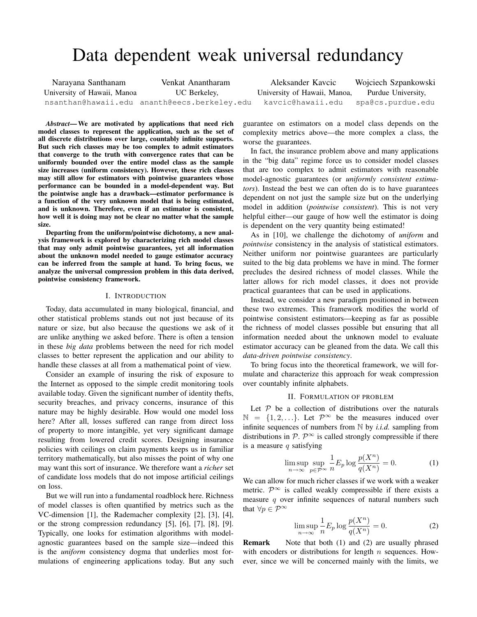# Data dependent weak universal redundancy

| Narayana Santhanam          | Venkat Anantharam                            | Aleksander Kavcic            | Wojciech Szpankowski |
|-----------------------------|----------------------------------------------|------------------------------|----------------------|
| University of Hawaii, Manoa | UC Berkeley,                                 | University of Hawaii, Manoa, | Purdue University,   |
|                             | nsanthan@hawaii.edu ananth@eecs.berkeley.edu | kavcic@hawaii.edu            | spa@cs.purdue.edu    |

*Abstract*— We are motivated by applications that need rich model classes to represent the application, such as the set of all discrete distributions over large, countably infinite supports. But such rich classes may be too complex to admit estimators that converge to the truth with convergence rates that can be uniformly bounded over the entire model class as the sample size increases (uniform consistency). However, these rich classes may still allow for estimators with pointwise guarantees whose performance can be bounded in a model-dependent way. But the pointwise angle has a drawback—estimator performance is a function of the very unknown model that is being estimated, and is unknown. Therefore, even if an estimator is consistent, how well it is doing may not be clear no matter what the sample size.

Departing from the uniform/pointwise dichotomy, a new analysis framework is explored by characterizing rich model classes that may only admit pointwise guarantees, yet all information about the unknown model needed to gauge estimator accuracy can be inferred from the sample at hand. To bring focus, we analyze the universal compression problem in this data derived, pointwise consistency framework.

# I. INTRODUCTION

Today, data accumulated in many biological, financial, and other statistical problems stands out not just because of its nature or size, but also because the questions we ask of it are unlike anything we asked before. There is often a tension in these *big data* problems between the need for rich model classes to better represent the application and our ability to handle these classes at all from a mathematical point of view.

Consider an example of insuring the risk of exposure to the Internet as opposed to the simple credit monitoring tools available today. Given the significant number of identity thefts, security breaches, and privacy concerns, insurance of this nature may be highly desirable. How would one model loss here? After all, losses suffered can range from direct loss of property to more intangible, yet very significant damage resulting from lowered credit scores. Designing insurance policies with ceilings on claim payments keeps us in familiar territory mathematically, but also misses the point of why one may want this sort of insurance. We therefore want a *richer* set of candidate loss models that do not impose artificial ceilings on loss.

But we will run into a fundamental roadblock here. Richness of model classes is often quantified by metrics such as the VC-dimension [1], the Rademacher complexity [2], [3], [4], or the strong compression redundancy [5], [6], [7], [8], [9]. Typically, one looks for estimation algorithms with modelagnostic guarantees based on the sample size—indeed this is the *uniform* consistency dogma that underlies most formulations of engineering applications today. But any such guarantee on estimators on a model class depends on the complexity metrics above—the more complex a class, the worse the guarantees.

In fact, the insurance problem above and many applications in the "big data" regime force us to consider model classes that are too complex to admit estimators with reasonable model-agnostic guarantees (or *uniformly consistent estimators*). Instead the best we can often do is to have guarantees dependent on not just the sample size but on the underlying model in addition (*pointwise consistent*). This is not very helpful either—our gauge of how well the estimator is doing is dependent on the very quantity being estimated!

As in [10], we challenge the dichotomy of *uniform* and *pointwise* consistency in the analysis of statistical estimators. Neither uniform nor pointwise guarantees are particularly suited to the big data problems we have in mind. The former precludes the desired richness of model classes. While the latter allows for rich model classes, it does not provide practical guarantees that can be used in applications.

Instead, we consider a new paradigm positioned in between these two extremes. This framework modifies the world of pointwise consistent estimators—keeping as far as possible the richness of model classes possible but ensuring that all information needed about the unknown model to evaluate estimator accuracy can be gleaned from the data. We call this *data-driven pointwise consistency*.

To bring focus into the theoretical framework, we will formulate and characterize this approach for weak compression over countably infinite alphabets.

# II. FORMULATION OF PROBLEM

Let  $P$  be a collection of distributions over the naturals  $\mathbb{N} = \{1, 2, \ldots\}$ . Let  $\mathcal{P}^{\infty}$  be the measures induced over infinite sequences of numbers from N by *i.i.d.* sampling from distributions in  $P \colon \mathcal{P}^{\infty}$  is called strongly compressible if there is a measure  $q$  satisfying

$$
\limsup_{n \to \infty} \sup_{p \in \mathcal{P}^{\infty}} \frac{1}{n} E_p \log \frac{p(X^n)}{q(X^n)} = 0.
$$
 (1)

We can allow for much richer classes if we work with a weaker metric.  $\mathcal{P}^{\infty}$  is called weakly compressible if there exists a measure  $q$  over infinite sequences of natural numbers such that  $\forall p \in \mathcal{P}^{\infty}$ 

$$
\limsup_{n \to \infty} \frac{1}{n} E_p \log \frac{p(X^n)}{q(X^n)} = 0.
$$
 (2)

**Remark** Note that both (1) and (2) are usually phrased with encoders or distributions for length  $n$  sequences. However, since we will be concerned mainly with the limits, we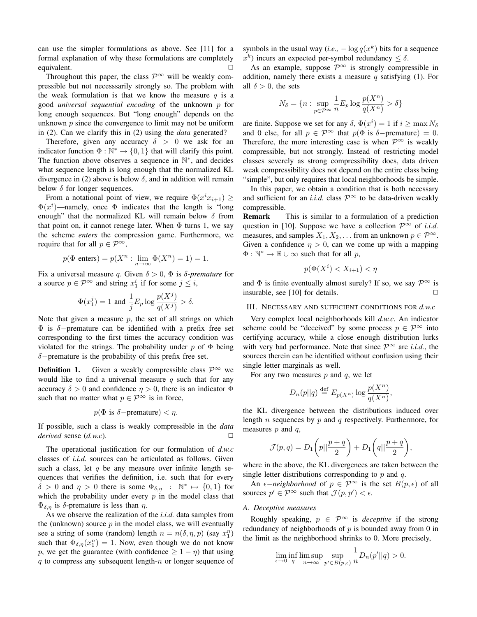can use the simpler formulations as above. See [11] for a formal explanation of why these formulations are completely equivalent.

Throughout this paper, the class  $\mathcal{P}^{\infty}$  will be weakly compressible but not necesssarily strongly so. The problem with the weak formulation is that we know the measure  $q$  is a good *universal sequential encoding* of the unknown p for long enough sequences. But "long enough" depends on the unknown  $p$  since the convergence to limit may not be uniform in (2). Can we clarify this in (2) using the *data* generated?

Therefore, given any accuracy  $\delta > 0$  we ask for an indicator function  $\Phi : \mathbb{N}^* \to \{0, 1\}$  that will clarify this point. The function above observes a sequence in  $\mathbb{N}^*$ , and decides what sequence length is long enough that the normalized KL divergence in (2) above is below  $\delta$ , and in addition will remain below  $\delta$  for longer sequences.

From a notational point of view, we require  $\Phi(x^i x_{i+1}) \geq$  $\Phi(x^i)$ —namely, once  $\Phi$  indicates that the length is "long enough" that the normalized KL will remain below  $\delta$  from that point on, it cannot renege later. When  $\Phi$  turns 1, we say the scheme *enters* the compression game. Furthermore, we require that for all  $p \in \mathcal{P}^{\infty}$ ,

$$
p(\Phi \text{ enters}) = p(X^n : \lim_{n \to \infty} \Phi(X^n) = 1) = 1.
$$

Fix a universal measure q. Given  $\delta > 0$ ,  $\Phi$  is  $\delta$ -premature for a source  $p \in \mathcal{P}^{\infty}$  and string  $x_1^i$  if for some  $j \leq i$ ,

$$
\Phi(x_1^j)=1 \text{ and } \frac{1}{j}E_p\log\frac{p(X^j)}{q(X^j)} > \delta.
$$

Note that given a measure  $p$ , the set of all strings on which  $\Phi$  is  $\delta$ -premature can be identified with a prefix free set corresponding to the first times the accuracy condition was violated for the strings. The probability under  $p$  of  $\Phi$  being δ−premature is the probability of this prefix free set.

**Definition 1.** Given a weakly compressible class  $\mathcal{P}^{\infty}$  we would like to find a universal measure  $q$  such that for any accuracy  $\delta > 0$  and confidence  $\eta > 0$ , there is an indicator  $\Phi$ such that no matter what  $p \in \mathcal{P}^{\infty}$  is in force,

$$
p(\Phi \text{ is } \delta-\text{premature}) < \eta.
$$

If possible, such a class is weakly compressible in the *data derived* sense  $(d.w.c)$ .

The operational justification for our formulation of *d.w.c* classes of *i.i.d.* sources can be articulated as follows. Given such a class, let q be any measure over infinite length sequences that verifies the definition, i.e. such that for every  $\delta > 0$  and  $\eta > 0$  there is some  $\Phi_{\delta,\eta}$  :  $\mathbb{N}^* \mapsto \{0,1\}$  for which the probability under every  $p$  in the model class that  $\Phi_{\delta,\eta}$  is  $\delta$ -premature is less than  $\eta$ .

As we observe the realization of the *i.i.d.* data samples from the (unknown) source  $p$  in the model class, we will eventually see a string of some (random) length  $n = n(\delta, \eta, p)$  (say  $x_1^n$ ) such that  $\Phi_{\delta,\eta}(x_1^n) = 1$ . Now, even though we do not know p, we get the guarantee (with confidence  $\geq 1 - \eta$ ) that using  $q$  to compress any subsequent length- $n$  or longer sequence of symbols in the usual way (*i.e.*,  $-\log q(x^k)$  bits for a sequence  $x^k$ ) incurs an expected per-symbol redundancy  $\leq \delta$ .

As an example, suppose  $\mathcal{P}^{\infty}$  is strongly compressible in addition, namely there exists a measure  $q$  satisfying (1). For all  $\delta > 0$ , the sets

$$
N_{\delta} = \{n : \sup_{p \in \mathcal{P}^{\infty}} \frac{1}{n} E_p \log \frac{p(X^n)}{q(X^n)} > \delta\}
$$

are finite. Suppose we set for any  $\delta$ ,  $\Phi(x^i) = 1$  if  $i \ge \max N_\delta$ and 0 else, for all  $p \in \mathcal{P}^{\infty}$  that  $p(\Phi \text{ is } \delta-\text{premature}) = 0$ . Therefore, the more interesting case is when  $\mathcal{P}^{\infty}$  is weakly compressible, but not strongly. Instead of restricting model classes severely as strong compressibility does, data driven weak compressibility does not depend on the entire class being "simple", but only requires that local neighborhoods be simple.

In this paper, we obtain a condition that is both necessary and sufficient for an *i.i.d.* class  $\mathcal{P}^{\infty}$  to be data-driven weakly compressible.

Remark This is similar to a formulation of a prediction question in [10]. Suppose we have a collection  $\mathcal{P}^{\infty}$  of *i.i.d.* measures, and samples  $X_1, X_2, \ldots$  from an unknown  $p \in \mathcal{P}^{\infty}$ . Given a confidence  $\eta > 0$ , can we come up with a mapping  $\Phi : \mathbb{N}^* \to \mathbb{R} \cup \infty$  such that for all p,

$$
p(\Phi(X^i) < X_{i+1}) < \eta
$$

and  $\Phi$  is finite eventually almost surely? If so, we say  $\mathcal{P}^{\infty}$  is insurable, see [10] for details.  $\Box$ 

# III. NECESSARY AND SUFFICIENT CONDITIONS FOR *d.w.c*

Very complex local neighborhoods kill *d.w.c*. An indicator scheme could be "deceived" by some process  $p \in \mathcal{P}^{\infty}$  into certifying accuracy, while a close enough distribution lurks with very bad performance. Note that since  $\mathcal{P}^{\infty}$  are *i.i.d.*, the sources therein can be identified without confusion using their single letter marginals as well.

For any two measures  $p$  and  $q$ , we let

$$
D_n(p||q) \stackrel{\text{def}}{=} E_{p(X^n)} \log \frac{p(X^n)}{q(X^n)},
$$

the KL divergence between the distributions induced over length *n* sequences by  $p$  and  $q$  respectively. Furthermore, for measures  $p$  and  $q$ ,

$$
\mathcal{J}(p,q) = D_1\left(p||\frac{p+q}{2}\right) + D_1\left(q||\frac{p+q}{2}\right),\,
$$

where in the above, the KL divergences are taken between the single letter distributions corresponding to  $p$  and  $q$ .

An  $\epsilon$ *-neighborhood* of  $p \in \mathcal{P}^{\infty}$  is the set  $B(p, \epsilon)$  of all sources  $p' \in \mathcal{P}^{\infty}$  such that  $\mathcal{J}(p, p') < \epsilon$ .

#### *A. Deceptive measures*

Roughly speaking,  $p \in \mathcal{P}^{\infty}$  is *deceptive* if the strong redundancy of neighborhoods of  $p$  is bounded away from 0 in the limit as the neighborhood shrinks to 0. More precisely,

$$
\lim_{\epsilon \to 0} \inf_{q} \limsup_{n \to \infty} \sup_{p' \in B(p,\epsilon)} \frac{1}{n} D_n(p'||q) > 0.
$$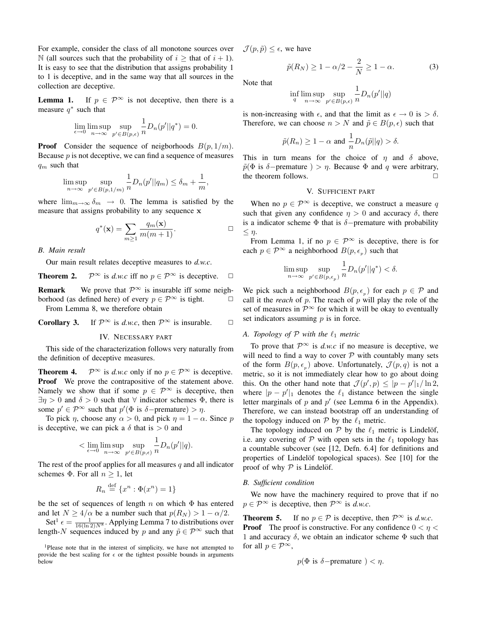For example, consider the class of all monotone sources over N (all sources such that the probability of  $i \geq$  that of  $i + 1$ ). It is easy to see that the distribution that assigns probability 1 to 1 is deceptive, and in the same way that all sources in the collection are deceptive.

**Lemma 1.** If  $p \in \mathcal{P}^{\infty}$  is not deceptive, then there is a measure  $q^*$  such that

$$
\lim_{\epsilon \to 0} \limsup_{n \to \infty} \sup_{p' \in B(p,\epsilon)} \frac{1}{n} D_n(p' || q^*) = 0.
$$

**Proof** Consider the sequence of neigborhoods  $B(p, 1/m)$ . Because  $p$  is not deceptive, we can find a sequence of measures  $q_m$  such that

$$
\limsup_{n \to \infty} \sup_{p' \in B(p, 1/m)} \frac{1}{n} D_n(p' || q_m) \le \delta_m + \frac{1}{m},
$$

where  $\lim_{m\to\infty} \delta_m \to 0$ . The lemma is satisfied by the measure that assigns probability to any sequence x

$$
q^*(\mathbf{x}) = \sum_{m \ge 1} \frac{q_m(\mathbf{x})}{m(m+1)}.
$$

## *B. Main result*

Our main result relates deceptive measures to *d.w.c*.

**Theorem 2.** 
$$
\mathcal{P}^{\infty}
$$
 is *d.w.c* iff no  $p \in \mathcal{P}^{\infty}$  is deceptive.  $\Box$ 

**Remark** We prove that  $\mathcal{P}^{\infty}$  is insurable iff some neighborhood (as defined here) of every  $p \in \mathcal{P}^{\infty}$  is tight.  $\Box$ From Lemma 8, we therefore obtain

**Corollary 3.** If  $\mathcal{P}^{\infty}$  is *d.w.c*, then  $\mathcal{P}^{\infty}$  is insurable.  $\Box$ 

### IV. NECESSARY PART

This side of the characterization follows very naturally from the definition of deceptive measures.

**Theorem 4.**  $\mathcal{P}^{\infty}$  is *d.w.c* only if no  $p \in \mathcal{P}^{\infty}$  is deceptive. Proof We prove the contrapositive of the statement above. Namely we show that if some  $p \in \mathcal{P}^{\infty}$  is deceptive, then  $\exists \eta > 0$  and  $\delta > 0$  such that  $\forall$  indicator schemes  $\Phi$ , there is some  $p' \in \mathcal{P}^{\infty}$  such that  $p'(\Phi \text{ is } \delta-\text{premature}) > \eta$ .

To pick  $\eta$ , choose any  $\alpha > 0$ , and pick  $\eta = 1 - \alpha$ . Since p is deceptive, we can pick a  $\delta$  that is  $> 0$  and

$$
<\lim_{\epsilon\to 0}\limsup_{n\to\infty}\sup_{p'\in B(p,\epsilon)}\frac{1}{n}D_n(p'||q).
$$

The rest of the proof applies for all measures  $q$  and all indicator schemes  $\Phi$ . For all  $n \geq 1$ , let

$$
R_n \stackrel{\text{def}}{=} \{x^n : \Phi(x^n) = 1\}
$$

be the set of sequences of length n on which  $\Phi$  has entered and let  $N \ge 4/\alpha$  be a number such that  $p(R_N) > 1 - \alpha/2$ .

Set<sup>1</sup>  $\epsilon = \frac{1}{16(\ln 2)N^8}$ . Applying Lemma 7 to distributions over length-N sequences induced by p and any  $\tilde{p} \in \mathcal{P}^{\infty}$  such that  $\mathcal{J}(p, \tilde{p}) \leq \epsilon$ , we have

$$
\tilde{p}(R_N) \ge 1 - \alpha/2 - \frac{2}{N} \ge 1 - \alpha. \tag{3}
$$

Note that

$$
\inf_{q} \limsup_{n \to \infty} \sup_{p' \in B(p,\epsilon)} \frac{1}{n} D_n(p' || q)
$$

is non-increasing with  $\epsilon$ , and that the limit as  $\epsilon \to 0$  is  $> \delta$ . Therefore, we can choose  $n > N$  and  $\tilde{p} \in B(p, \epsilon)$  such that

$$
\tilde{p}(R_n) \ge 1 - \alpha
$$
 and  $\frac{1}{n}D_n(\tilde{p}||q) > \delta$ .

This in turn means for the choice of  $\eta$  and  $\delta$  above,  $\tilde{p}(\Phi)$  is  $\delta$ -premature ) >  $\eta$ . Because  $\Phi$  and  $q$  were arbitrary, the theorem follows.

## V. SUFFICIENT PART

When no  $p \in \mathcal{P}^{\infty}$  is deceptive, we construct a measure q such that given any confidence  $\eta > 0$  and accuracy  $\delta$ , there is a indicator scheme  $\Phi$  that is  $\delta$ -premature with probability  $\leq \eta$ .

From Lemma 1, if no  $p \in \mathcal{P}^{\infty}$  is deceptive, there is for each  $p \in \mathcal{P}^{\infty}$  a neighborhood  $B(p, \epsilon_p)$  such that

$$
\limsup_{n \to \infty} \sup_{p' \in B(p, \epsilon_p)} \frac{1}{n} D_n(p' || q^*) < \delta.
$$

We pick such a neighborhood  $B(p, \epsilon_p)$  for each  $p \in \mathcal{P}$  and call it the *reach* of  $p$ . The reach of  $p$  will play the role of the set of measures in  $\mathcal{P}^{\infty}$  for which it will be okay to eventually set indicators assuming  $p$  is in force.

# *A. Topology of*  $P$  *with the*  $\ell_1$  *metric*

To prove that  $\mathcal{P}^{\infty}$  is *d.w.c* if no measure is deceptive, we will need to find a way to cover  $P$  with countably many sets of the form  $B(p, \epsilon_p)$  above. Unfortunately,  $\mathcal{J}(p,q)$  is not a metric, so it is not immediately clear how to go about doing this. On the other hand note that  $\mathcal{J}(p',p) \leq |p-p'|_1 / \ln 2$ , where  $|p - p'|_1$  denotes the  $\ell_1$  distance between the single letter marginals of  $p$  and  $p'$  (see Lemma 6 in the Appendix). Therefore, we can instead bootstrap off an understanding of the topology induced on  $P$  by the  $\ell_1$  metric.

The topology induced on  $P$  by the  $\ell_1$  metric is Lindelöf, i.e. any covering of  $P$  with open sets in the  $\ell_1$  topology has a countable subcover (see [12, Defn. 6.4] for definitions and properties of Lindelöf topological spaces). See [10] for the proof of why  $P$  is Lindelöf.

### *B. Sufficient condition*

We now have the machinery required to prove that if no  $p \in \mathcal{P}^{\infty}$  is deceptive, then  $\mathcal{P}^{\infty}$  is *d.w.c.* 

**Theorem 5.** If no  $p \in \mathcal{P}$  is deceptive, then  $\mathcal{P}^{\infty}$  is *d.w.c.* **Proof** The proof is constructive. For any confidence  $0 < \eta <$ 1 and accuracy  $\delta$ , we obtain an indicator scheme  $\Phi$  such that for all  $p \in \mathcal{P}^{\infty}$ ,

$$
p(\Phi \text{ is } \delta-\text{premature}) < \eta.
$$

<sup>&</sup>lt;sup>1</sup>Please note that in the interest of simplicity, we have not attempted to provide the best scaling for  $\epsilon$  or the tightest possible bounds in arguments below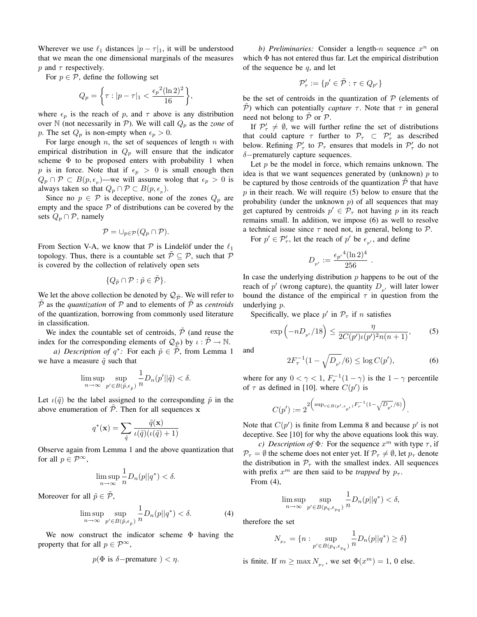Wherever we use  $\ell_1$  distances  $|p - \tau|_1$ , it will be understood that we mean the one dimensional marginals of the measures p and  $\tau$  respectively.

For  $p \in \mathcal{P}$ , define the following set

$$
Q_p = \left\{ \tau : |p - \tau|_1 < \frac{\epsilon_p^2 (\ln 2)^2}{16} \right\},\
$$

where  $\epsilon_p$  is the reach of p, and  $\tau$  above is any distribution over  $\mathbb N$  (not necessarily in  $\mathcal P$ ). We will call  $Q_p$  as the *zone* of p. The set  $Q_p$  is non-empty when  $\epsilon_p > 0$ .

For large enough  $n$ , the set of sequences of length  $n$  with empirical distribution in  $Q_p$  will ensure that the indicator scheme  $\Phi$  to be proposed enters with probability 1 when p is in force. Note that if  $\epsilon_p > 0$  is small enough then  $Q_p \cap \mathcal{P} \subset B(p, \epsilon_p)$ —we will assume wolog that  $\epsilon_p > 0$  is always taken so that  $Q_p \cap \mathcal{P} \subset B(p, \epsilon_p)$ .

Since no  $p \in \mathcal{P}$  is deceptive, none of the zones  $Q_p$  are empty and the space  $P$  of distributions can be covered by the sets  $Q_p \cap P$ , namely

$$
\mathcal{P}=\cup_{p\in\mathcal{P}}(Q_p\cap\mathcal{P}).
$$

From Section V-A, we know that  $P$  is Lindelöf under the  $\ell_1$ topology. Thus, there is a countable set  $\mathcal{P} \subseteq \mathcal{P}$ , such that  $\mathcal{P}$ is covered by the collection of relatively open sets

$$
\{Q_{\tilde{p}}\cap \mathcal{P}: \tilde{p}\in \tilde{\mathcal{P}}\}.
$$

We let the above collection be denoted by  $\mathcal{Q}_{\tilde{\mathcal{D}}}$ . We will refer to  $\overline{P}$  as the *quantization* of  $P$  and to elements of  $\overline{P}$  as *centroids* of the quantization, borrowing from commonly used literature in classification.

We index the countable set of centroids,  $\tilde{\mathcal{P}}$  (and reuse the index for the corresponding elements of  $\mathcal{Q}_{\tilde{\mathcal{D}}}$ ) by  $\iota : \tilde{\mathcal{P}} \to \mathbb{N}$ .

*a) Description of*  $q^*$ : For each  $\tilde{p} \in \tilde{\mathcal{P}}$ , from Lemma 1 we have a measure  $\tilde{q}$  such that

$$
\limsup_{n\to\infty}\sup_{p'\in B(\tilde{p},\epsilon_{\tilde{p}})}\frac{1}{n}D_n(p'||\tilde{q})<\delta.
$$

Let  $\iota(\tilde{q})$  be the label assigned to the corresponding  $\tilde{p}$  in the above enumeration of  $P$ . Then for all sequences x

$$
q^*(\mathbf{x}) = \sum_{\tilde{q}} \frac{\tilde{q}(\mathbf{x})}{\iota(\tilde{q})(\iota(\tilde{q}) + 1)}
$$

Observe again from Lemma 1 and the above quantization that for all  $p \in \mathcal{P}^{\infty}$ ,

$$
\limsup_{n \to \infty} \frac{1}{n} D_n(p||q^*) < \delta.
$$

Moreover for all  $\tilde{p} \in \tilde{\mathcal{P}}$ ,

$$
\limsup_{n \to \infty} \sup_{p' \in B(\tilde{p}, \epsilon_{\tilde{p}})} \frac{1}{n} D_n(p || q^*) < \delta. \tag{4}
$$

We now construct the indicator scheme  $\Phi$  having the property that for all  $p \in \mathcal{P}^{\infty}$ ,

$$
p(\Phi \text{ is } \delta-\text{premature}) < \eta.
$$

b) Preliminaries: Consider a length- $n$  sequence  $x^n$  on which Φ has not entered thus far. Let the empirical distribution of the sequence be  $q$ , and let

$$
\mathcal{P}_\tau' := \{p' \in \tilde{\mathcal{P}} : \tau \in Q_{p'}\}
$$

be the set of centroids in the quantization of  $P$  (elements of P) which can potentially *capture*  $\tau$ . Note that  $\tau$  in general need not belong to  $P$  or  $P$ .

If  $\mathcal{P}'_{\tau} \neq \emptyset$ , we will further refine the set of distributions that could capture  $\tau$  further to  $\mathcal{P}_{\tau} \subset \mathcal{P}'_{\tau}$  as described below. Refining  $\mathcal{P}'_{\tau}$  to  $\mathcal{P}_{\tau}$  ensures that models in  $\mathcal{P}'_{\tau}$  do not δ−prematurely capture sequences.

Let  $p$  be the model in force, which remains unknown. The idea is that we want sequences generated by (unknown)  $p$  to be captured by those centroids of the quantization  $\mathcal P$  that have  $p$  in their reach. We will require (5) below to ensure that the probability (under the unknown  $p$ ) of all sequences that may get captured by centroids  $p' \in \mathcal{P}_{\tau}$  not having p in its reach remains small. In addition, we impose (6) as well to resolve a technical issue since  $\tau$  need not, in general, belong to  $\mathcal{P}$ .

For  $p' \in \mathcal{P}'_{\tau}$ , let the reach of  $p'$  be  $\epsilon_{p'}$ , and define

$$
D_{_{p'}} := \frac{{\epsilon_{p'}}^4 (\ln 2)^4}{256} \ .
$$

In case the underlying distribution  $p$  happens to be out of the reach of  $p'$  (wrong capture), the quantity  $D_{p'}$  will later lower bound the distance of the empirical  $\tau$  in question from the underlying p.

Specifically, we place  $p'$  in  $\mathcal{P}_{\tau}$  if n satisfies

$$
\exp\left(-nD_{p'}/18\right) \le \frac{\eta}{2C(p')\iota(p')^2n(n+1)},\tag{5}
$$

and

$$
2F_{\tau}^{-1}(1-\sqrt{D_{p'}}/6) \le \log C(p'),\tag{6}
$$

where for any  $0 < \gamma < 1$ ,  $F_{\tau}^{-1}(1 - \gamma)$  is the  $1 - \gamma$  percentile of  $\tau$  as defined in [10]. where  $C(p')$  is

$$
C(p') := 2^{2 \left( \sup_{r \in B(p', \epsilon_{p'})} F_r^{-1} (1 - \sqrt{D_{p'}}/6) \right)}.
$$

Note that  $C(p')$  is finite from Lemma 8 and because  $p'$  is not deceptive. See [10] for why the above equations look this way.

*c)* Description of  $\Phi$ : For the sequence  $x^m$  with type  $\tau$ , if  $\mathcal{P}_{\tau} = \emptyset$  the scheme does not enter yet. If  $\mathcal{P}_{\tau} \neq \emptyset$ , let  $p_{\tau}$  denote the distribution in  $\mathcal{P}_{\tau}$  with the smallest index. All sequences with prefix  $x^m$  are then said to be *trapped* by  $p_{\tau}$ .

From (4),

$$
\limsup_{n\to\infty}\sup_{p'\in B(p_q,\epsilon_{p_q})}\frac{1}{n}D_n(p||q^*)<\delta,
$$

therefore the set

$$
N_{p_{\tau}} = \{ n : \sup_{p' \in B(p_q, \epsilon_{p_q})} \frac{1}{n} D_n(p||q^*) \ge \delta \}
$$

is finite. If  $m \ge \max N_{p_{\tau}}$ , we set  $\Phi(x^m) = 1$ , 0 else.